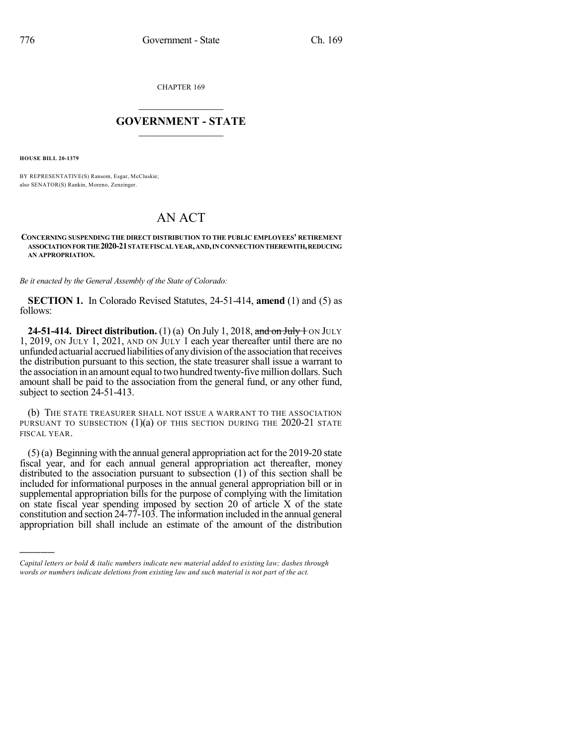CHAPTER 169

## $\overline{\phantom{a}}$  . The set of the set of the set of the set of the set of the set of the set of the set of the set of the set of the set of the set of the set of the set of the set of the set of the set of the set of the set o **GOVERNMENT - STATE**  $\_$

**HOUSE BILL 20-1379**

)))))

BY REPRESENTATIVE(S) Ransom, Esgar, McCluskie; also SENATOR(S) Rankin, Moreno, Zenzinger.

## AN ACT

## **CONCERNING SUSPENDING THE DIRECT DISTRIBUTION TO THE PUBLIC EMPLOYEES' RETIREMENT ASSOCIATIONFORTHE2020-21STATEFISCALYEAR,AND,INCONNECTIONTHEREWITH,REDUCING AN APPROPRIATION.**

*Be it enacted by the General Assembly of the State of Colorado:*

**SECTION 1.** In Colorado Revised Statutes, 24-51-414, **amend** (1) and (5) as follows:

**24-51-414. Direct distribution.** (1) (a) On July 1, 2018, and on July 1 ON JULY 1, 2019, ON JULY 1, 2021, AND ON JULY 1 each year thereafter until there are no unfunded actuarial accrued liabilities of anydivision ofthe association thatreceives the distribution pursuant to this section, the state treasurer shall issue a warrant to the association in an amount equal to two hundred twenty-five million dollars. Such amount shall be paid to the association from the general fund, or any other fund, subject to section 24-51-413.

(b) THE STATE TREASURER SHALL NOT ISSUE A WARRANT TO THE ASSOCIATION PURSUANT TO SUBSECTION  $(1)(a)$  of this section during the 2020-21 state FISCAL YEAR.

(5) (a) Beginning with the annual general appropriation act for the 2019-20 state fiscal year, and for each annual general appropriation act thereafter, money distributed to the association pursuant to subsection (1) of this section shall be included for informational purposes in the annual general appropriation bill or in supplemental appropriation bills for the purpose of complying with the limitation on state fiscal year spending imposed by section 20 of article X of the state constitution and section 24-77-103. The information included in the annual general appropriation bill shall include an estimate of the amount of the distribution

*Capital letters or bold & italic numbers indicate new material added to existing law; dashes through words or numbers indicate deletions from existing law and such material is not part of the act.*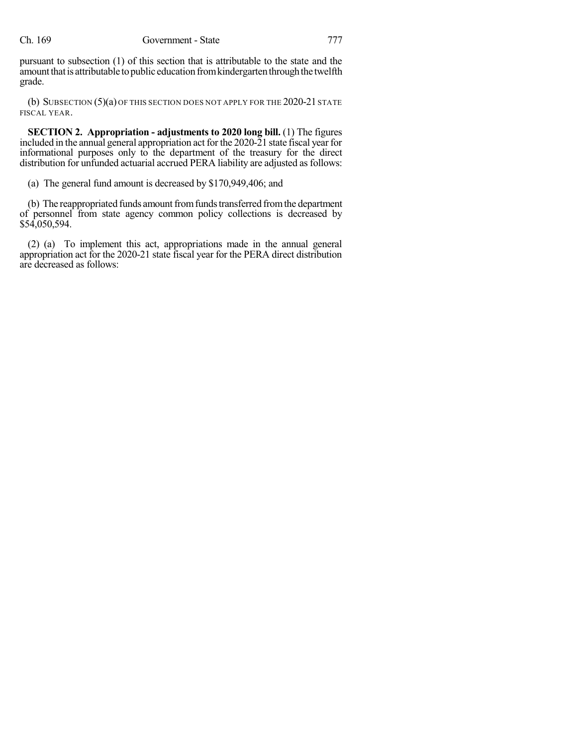pursuant to subsection (1) of this section that is attributable to the state and the amount that is attributable to public education from kindergarten through the twelfth grade.

(b) SUBSECTION (5)(a) OF THIS SECTION DOES NOT APPLY FOR THE 2020-21 STATE FISCAL YEAR.

**SECTION 2. Appropriation - adjustments to 2020 long bill.** (1) The figures included in the annual general appropriation act for the 2020-21 state fiscal year for informational purposes only to the department of the treasury for the direct distribution for unfunded actuarial accrued PERA liability are adjusted as follows:

(a) The general fund amount is decreased by \$170,949,406; and

(b) The reappropriated funds amount from funds transferred from the department of personnel from state agency common policy collections is decreased by \$54,050,594.

(2) (a) To implement this act, appropriations made in the annual general appropriation act for the 2020-21 state fiscal year for the PERA direct distribution are decreased as follows: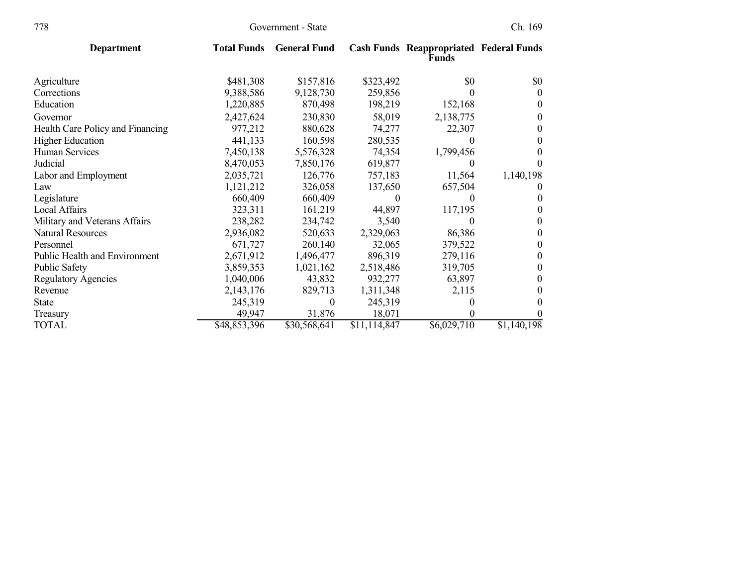| 778                                     | Government - State |                     |              | Ch. 169                                                        |             |  |
|-----------------------------------------|--------------------|---------------------|--------------|----------------------------------------------------------------|-------------|--|
| <b>Department</b>                       | <b>Total Funds</b> | <b>General Fund</b> |              | <b>Cash Funds Reappropriated Federal Funds</b><br><b>Funds</b> |             |  |
| Agriculture                             | \$481,308          | \$157,816           | \$323,492    | \$0                                                            | \$0         |  |
| Corrections                             | 9,388,586          | 9,128,730           | 259,856      | $\theta$                                                       | $\theta$    |  |
| Education                               | 1,220,885          | 870,498             | 198,219      | 152,168                                                        | $_{0}$      |  |
| Governor                                | 2,427,624          | 230,830             | 58,019       | 2,138,775                                                      | $_{0}$      |  |
| <b>Health Care Policy and Financing</b> | 977,212            | 880,628             | 74,277       | 22,307                                                         | 0           |  |
| <b>Higher Education</b>                 | 441,133            | 160,598             | 280,535      | $\theta$                                                       | $_{0}$      |  |
| Human Services                          | 7,450,138          | 5,576,328           | 74,354       | 1,799,456                                                      | $_{0}$      |  |
| Judicial                                | 8,470,053          | 7,850,176           | 619,877      | $\theta$                                                       |             |  |
| Labor and Employment                    | 2,035,721          | 126,776             | 757,183      | 11,564                                                         | 1,140,198   |  |
| Law                                     | 1,121,212          | 326,058             | 137,650      | 657,504                                                        |             |  |
| Legislature                             | 660,409            | 660,409             | 0            |                                                                | 0           |  |
| <b>Local Affairs</b>                    | 323,311            | 161,219             | 44,897       | 117,195                                                        | $\theta$    |  |
| Military and Veterans Affairs           | 238,282            | 234,742             | 3,540        | $\Omega$                                                       | $\theta$    |  |
| <b>Natural Resources</b>                | 2,936,082          | 520,633             | 2,329,063    | 86,386                                                         | $_{0}$      |  |
| Personnel                               | 671,727            | 260,140             | 32,065       | 379,522                                                        | 0           |  |
| <b>Public Health and Environment</b>    | 2,671,912          | 1,496,477           | 896,319      | 279,116                                                        | $^{(1)}$    |  |
| <b>Public Safety</b>                    | 3,859,353          | 1,021,162           | 2,518,486    | 319,705                                                        | 0           |  |
| <b>Regulatory Agencies</b>              | 1,040,006          | 43,832              | 932,277      | 63,897                                                         | 0           |  |
| Revenue                                 | 2,143,176          | 829,713             | 1,311,348    | 2,115                                                          | $_{0}$      |  |
| State                                   | 245,319            | 0                   | 245,319      |                                                                | $_{0}$      |  |
| Treasury                                | 49,947             | 31,876              | 18,071       | 0                                                              |             |  |
| TOTAL                                   | \$48,853,396       | \$30,568,641        | \$11,114,847 | \$6,029,710                                                    | \$1,140,198 |  |